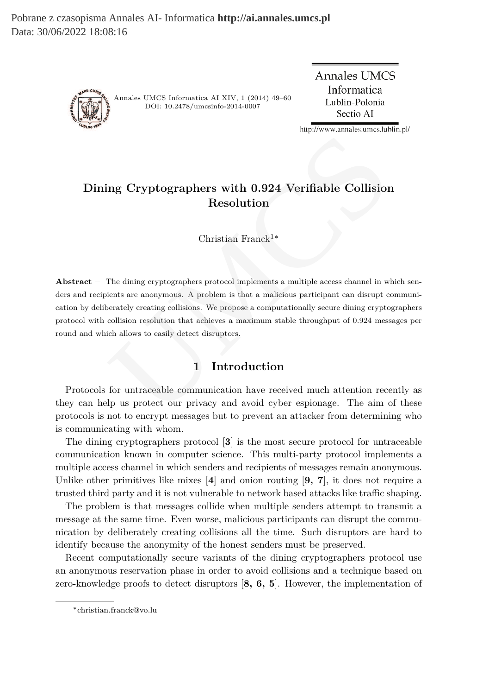Pobrane z czasopisma Annales AI- Informatica **http://ai.annales.umcs.pl** Data: 30/06/2022 18:08:16



Annales UMCS Informatica AI XIV, 1 (2014) 49–60 DOI: 10.2478/umcsinfo-2014-0007

**Annales UMCS** Informatica Lublin-Polonia Sectio AI

http://www.annales.umcs.lublin.pl/

# **Dining Cryptographers with 0.924 Verifiable Collision Resolution**

Christian Franck<sup>1</sup><sup>∗</sup>

**Abstract –** The dining cryptographers protocol implements a multiple access channel in which senders and recipients are anonymous. A problem is that a malicious participant can disrupt communication by deliberately creating collisions. We propose a computationally secure dining cryptographers protocol with collision resolution that achieves a maximum stable throughput of 0.924 messages per round and which allows to easily detect disruptors. ing Cryptographers with 0.924 Verifiable Collision<br>
Resolution<br>
Resolution<br>
Christian Franck<sup>1\*</sup><br>
The dining cryptographers protocol implements a multiple access channel in wients are anonymous. A problem is that a malicio

## **1 Introduction**

Protocols for untraceable communication have received much attention recently as they can help us protect our privacy and avoid cyber espionage. The aim of these protocols is not to encrypt messages but to prevent an attacker from determining who is communicating with whom.

The dining cryptographers protocol [**3**] is the most secure protocol for untraceable communication known in computer science. This multi-party protocol implements a multiple access channel in which senders and recipients of messages remain anonymous. Unlike other primitives like mixes [**4**] and onion routing [**9, 7**], it does not require a trusted third party and it is not vulnerable to network based attacks like traffic shaping.

The problem is that messages collide when multiple senders attempt to transmit a message at the same time. Even worse, malicious participants can disrupt the communication by deliberately creating collisions all the time. Such disruptors are hard to identify because the anonymity of the honest senders must be preserved.

Recent computationally secure variants of the dining cryptographers protocol use an anonymous reservation phase in order to avoid collisions and a technique based on zero-knowledge proofs to detect disruptors [**8, 6, 5**]. However, the implementation of

<sup>∗</sup>christian.franck@vo.lu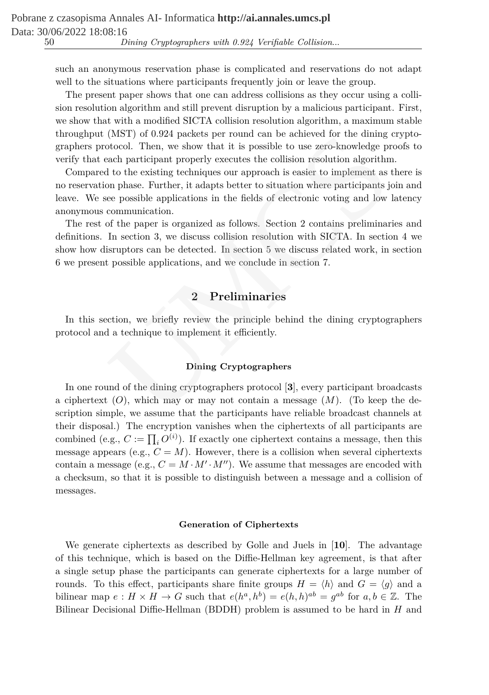such an anonymous reservation phase is complicated and reservations do not adapt well to the situations where participants frequently join or leave the group.

The present paper shows that one can address collisions as they occur using a collision resolution algorithm and still prevent disruption by a malicious participant. First, we show that with a modified SICTA collision resolution algorithm, a maximum stable throughput (MST) of 0.924 packets per round can be achieved for the dining cryptographers protocol. Then, we show that it is possible to use zero-knowledge proofs to verify that each participant properly executes the collision resolution algorithm.

Compared to the existing techniques our approach is easier to implement as there is no reservation phase. Further, it adapts better to situation where participants join and leave. We see possible applications in the fields of electronic voting and low latency anonymous communication. (MS1) of 0.924 packets per round can be achieved for the diming<br>otocol. Then, we show that it is possible to use zero-knowledge pu<br>acach participant properly executes the collision resolution algorithm<br>docol. Then, we sho

The rest of the paper is organized as follows. Section 2 contains preliminaries and definitions. In section 3, we discuss collision resolution with SICTA. In section 4 we show how disruptors can be detected. In section 5 we discuss related work, in section 6 we present possible applications, and we conclude in section 7.

# **2 Preliminaries**

In this section, we briefly review the principle behind the dining cryptographers protocol and a technique to implement it efficiently.

## **Dining Cryptographers**

In one round of the dining cryptographers protocol [**3**], every participant broadcasts a ciphertext  $(O)$ , which may or may not contain a message  $(M)$ . (To keep the description simple, we assume that the participants have reliable broadcast channels at their disposal.) The encryption vanishes when the ciphertexts of all participants are combined (e.g.,  $C := \prod_i O^{(i)}$ ). If exactly one ciphertext contains a message, then this message appears (e.g.,  $C = M$ ). However, there is a collision when several ciphertexts contain a message (e.g.,  $C = M \cdot M' \cdot M''$ ). We assume that messages are encoded with a checksum, so that it is possible to distinguish between a message and a collision of messages.

## **Generation of Ciphertexts**

We generate ciphertexts as described by Golle and Juels in [**10**]. The advantage of this technique, which is based on the Diffie-Hellman key agreement, is that after a single setup phase the participants can generate ciphertexts for a large number of rounds. To this effect, participants share finite groups  $H = \langle h \rangle$  and  $G = \langle g \rangle$  and a bilinear map  $e: H \times H \to G$  such that  $e(h^a, h^b) = e(h, h)^{ab} = g^{ab}$  for  $a, b \in \mathbb{Z}$ . The Bilinear Decisional Diffie-Hellman (BDDH) problem is assumed to be hard in  $H$  and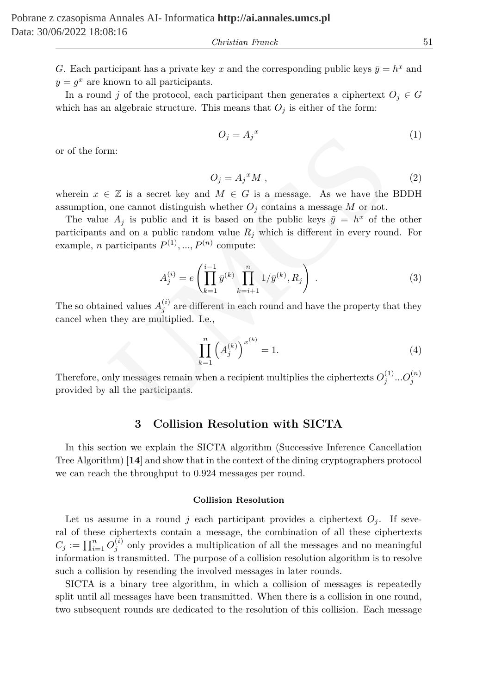*Christian Franck* 51

G. Each participant has a private key x and the corresponding public keys  $\bar{y} = h^x$  and  $y = g^x$  are known to all participants.

In a round j of the protocol, each participant then generates a ciphertext  $O_j \in G$ which has an algebraic structure. This means that  $O_i$  is either of the form:

$$
O_j = A_j^x \tag{1}
$$

or of the form:

$$
O_j = A_j^{\,x} M \,,\tag{2}
$$

wherein  $x \in \mathbb{Z}$  is a secret key and  $M \in G$  is a message. As we have the BDDH assumption, one cannot distinguish whether  $O_i$  contains a message M or not.

The value  $A_j$  is public and it is based on the public keys  $\bar{y} = h^x$  of the other participants and on a public random value  $R_i$  which is different in every round. For example, *n* participants  $P^{(1)}, ..., P^{(n)}$  compute:  $\label{eq:2.1} O_j=A_j{}^x$  m:<br> $O_j=A_j{}^xM\;,$  <br> $\in \mathbb{Z}$  is a secret key and  $M\in G$  is a message. As we have the one cannot distinguish whether<br> $O_j$  contains a message  $M$  on to<br> $A_j$  is public and it is based on the public keys<br> $\bar$ 

$$
A_j^{(i)} = e\left(\prod_{k=1}^{i-1} \bar{y}^{(k)} \prod_{k=i+1}^n 1/\bar{y}^{(k)}, R_j\right) . \tag{3}
$$

The so obtained values  $A_j^{(i)}$  are different in each round and have the property that they cancel when they are multiplied. I.e.,

$$
\prod_{k=1}^{n} \left( A_j^{(k)} \right)^{x^{(k)}} = 1.
$$
\n(4)

Therefore, only messages remain when a recipient multiplies the ciphertexts  $O_j^{(1)}...O_j^{(n)}$ provided by all the participants.

## **3 Collision Resolution with SICTA**

In this section we explain the SICTA algorithm (Successive Inference Cancellation Tree Algorithm) [**14**] and show that in the context of the dining cryptographers protocol we can reach the throughput to 0.924 messages per round.

#### **Collision Resolution**

Let us assume in a round j each participant provides a ciphertext  $O_i$ . If several of these ciphertexts contain a message, the combination of all these ciphertexts  $C_j := \prod_{i=1}^n O_j^{(i)}$  only provides a multiplication of all the messages and no meaningful information is transmitted. The purpose of a collision resolution algorithm is to resolve such a collision by resending the involved messages in later rounds.

SICTA is a binary tree algorithm, in which a collision of messages is repeatedly split until all messages have been transmitted. When there is a collision in one round, two subsequent rounds are dedicated to the resolution of this collision. Each message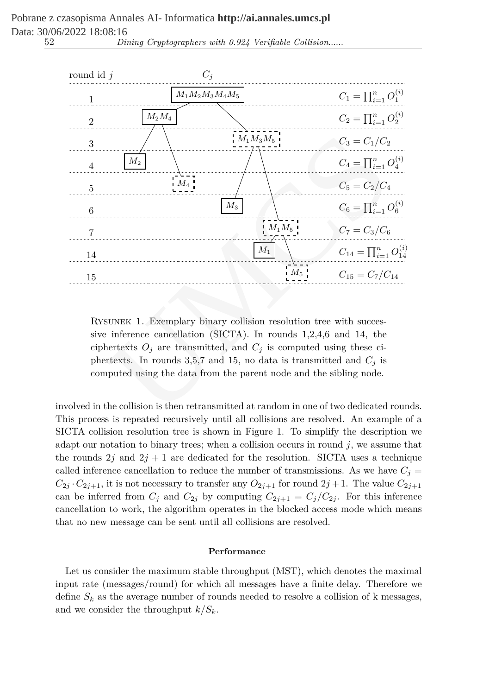| round id $j$   |                                                                                                                                                                                                                                                                                                                                                                        | $C_i$             |          |                                                                                      |
|----------------|------------------------------------------------------------------------------------------------------------------------------------------------------------------------------------------------------------------------------------------------------------------------------------------------------------------------------------------------------------------------|-------------------|----------|--------------------------------------------------------------------------------------|
| $\mathbf{1}$   |                                                                                                                                                                                                                                                                                                                                                                        | $M_1M_2M_3M_4M_5$ |          | $C_1 = \prod_{i=1}^n O_1^{(i)}$                                                      |
| $\mathfrak{D}$ | $M_2M_4$                                                                                                                                                                                                                                                                                                                                                               |                   |          | $C_2 = \prod_{i=1}^n O_2^{(i)}$                                                      |
| 3              |                                                                                                                                                                                                                                                                                                                                                                        | $M_1M_3M_5$       |          | $C_3 = C_1/C_2$                                                                      |
| 4              | $M_2$                                                                                                                                                                                                                                                                                                                                                                  |                   |          | $C_4 = \prod_{i=1}^n O_4^{(i)}$                                                      |
| 5              | $M_4$                                                                                                                                                                                                                                                                                                                                                                  |                   |          | $C_5 = C_2/C_4$                                                                      |
| 6              |                                                                                                                                                                                                                                                                                                                                                                        | $M_3$             |          | $C_6 = \prod_{i=1}^n O_6^{(i)}$                                                      |
| 7              |                                                                                                                                                                                                                                                                                                                                                                        |                   | $M_1M_5$ | $C_7 = C_3/C_6$                                                                      |
| 14             |                                                                                                                                                                                                                                                                                                                                                                        |                   | $M_1$    | $C_{14} = \prod_{i=1}^{n} O_{14}^{(i)}$                                              |
| 15             |                                                                                                                                                                                                                                                                                                                                                                        |                   | $M_5$    | $C_{15} = C_7/C_{14}$                                                                |
|                | RYSUNEK 1. Exemplary binary collision resolution tree with succes-<br>sive inference cancellation (SICTA). In rounds $1,2,4,6$ and 14, the<br>ciphertexts $O_j$ are transmitted, and $C_j$ is computed using these ci-<br>phertexts. In rounds 3,5,7 and 15, no data is transmitted and $C_j$ is<br>computed using the data from the parent node and the sibling node. |                   |          | volved in the collision is then retransmitted at random in one of two dedicated rour |
|                |                                                                                                                                                                                                                                                                                                                                                                        |                   |          | is process is reported requiredy until all collisions are resolved. An example       |

52 *Dining Cryptographers with 0.924 Verifiable Collision*......

involved in the collision is then retransmitted at random in one of two dedicated rounds. This process is repeated recursively until all collisions are resolved. An example of a SICTA collision resolution tree is shown in Figure 1. To simplify the description we adapt our notation to binary trees; when a collision occurs in round  $j$ , we assume that the rounds  $2j$  and  $2j + 1$  are dedicated for the resolution. SICTA uses a technique called inference cancellation to reduce the number of transmissions. As we have  $C_j =$  $C_{2j}$  ·  $C_{2j+1}$ , it is not necessary to transfer any  $O_{2j+1}$  for round  $2j+1$ . The value  $C_{2j+1}$ can be inferred from  $C_j$  and  $C_{2j}$  by computing  $C_{2j+1} = C_j/C_{2j}$ . For this inference cancellation to work, the algorithm operates in the blocked access mode which means that no new message can be sent until all collisions are resolved.

## **Performance**

Let us consider the maximum stable throughput (MST), which denotes the maximal input rate (messages/round) for which all messages have a finite delay. Therefore we define  $S_k$  as the average number of rounds needed to resolve a collision of k messages, and we consider the throughput  $k/S_k$ .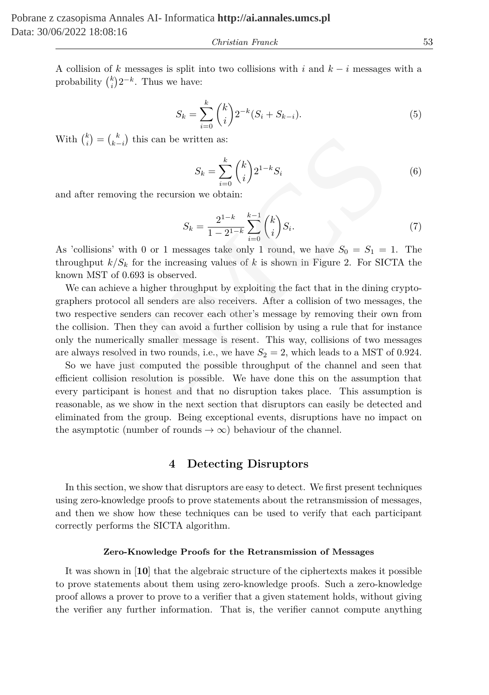*Christian Franck* 53

A collision of k messages is split into two collisions with i and  $k - i$  messages with a probability  $\binom{k}{i} 2^{-k}$ . Thus we have:

$$
S_k = \sum_{i=0}^{k} {k \choose i} 2^{-k} (S_i + S_{k-i}).
$$
\n(5)

With  $\binom{k}{i} = \binom{k}{k-i}$  this can be written as:

$$
S_k = \sum_{i=0}^k \binom{k}{i} 2^{1-k} S_i \tag{6}
$$

and after removing the recursion we obtain:

$$
S_k = \frac{2^{1-k}}{1-2^{1-k}} \sum_{i=0}^{k-1} \binom{k}{i} S_i.
$$
 (7)

As 'collisions' with 0 or 1 messages take only 1 round, we have  $S_0 = S_1 = 1$ . The throughput  $k/S_k$  for the increasing values of k is shown in Figure 2. For SICTA the known MST of 0.693 is observed.

We can achieve a higher throughput by exploiting the fact that in the dining cryptographers protocol all senders are also receivers. After a collision of two messages, the two respective senders can recover each other's message by removing their own from the collision. Then they can avoid a further collision by using a rule that for instance only the numerically smaller message is resent. This way, collisions of two messages are always resolved in two rounds, i.e., we have  $S_2 = 2$ , which leads to a MST of 0.924.  $\binom{k}{k-i}$  this can be written as:<br>  $S_k = \sum_{i=0}^k \binom{k}{i} 2^{1-k} S_i$ <br>
moving the recursion we obtain:<br>  $S_k = \frac{2^{1-k}}{1-2^{1-k}} \sum_{i=0}^{k-1} \binom{k}{i} S_i$ .<br>
is' with 0 or 1 messages take only 1 round, we have  $S_0 = S_1 = k/S_k$  for the in

So we have just computed the possible throughput of the channel and seen that efficient collision resolution is possible. We have done this on the assumption that every participant is honest and that no disruption takes place. This assumption is reasonable, as we show in the next section that disruptors can easily be detected and eliminated from the group. Being exceptional events, disruptions have no impact on the asymptotic (number of rounds  $\rightarrow \infty$ ) behaviour of the channel.

## **4 Detecting Disruptors**

In this section, we show that disruptors are easy to detect. We first present techniques using zero-knowledge proofs to prove statements about the retransmission of messages, and then we show how these techniques can be used to verify that each participant correctly performs the SICTA algorithm.

#### **Zero-Knowledge Proofs for the Retransmission of Messages**

It was shown in [**10**] that the algebraic structure of the ciphertexts makes it possible to prove statements about them using zero-knowledge proofs. Such a zero-knowledge proof allows a prover to prove to a verifier that a given statement holds, without giving the verifier any further information. That is, the verifier cannot compute anything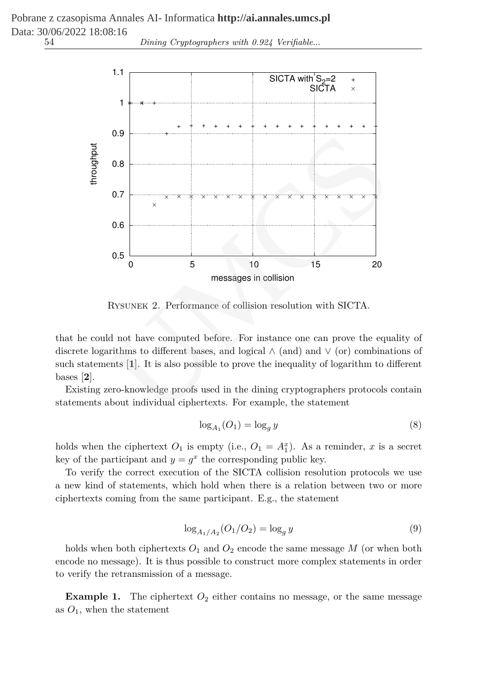Pobrane z czasopisma Annales AI- Informatica **http://ai.annales.umcs.pl** Data: 30/06/2022 18:08:16

54 *Dining Cryptographers with 0.924 Verifiable*...



Rysunek 2. Performance of collision resolution with SICTA.

that he could not have computed before. For instance one can prove the equality of discrete logarithms to different bases, and logical ∧ (and) and ∨ (or) combinations of such statements [**1**]. It is also possible to prove the inequality of logarithm to different bases [**2**].

Existing zero-knowledge proofs used in the dining cryptographers protocols contain statements about individual ciphertexts. For example, the statement

$$
\log_{A_1}(O_1) = \log_g y \tag{8}
$$

holds when the ciphertext  $O_1$  is empty (i.e.,  $O_1 = A_1^x$ ). As a reminder, x is a secret key of the participant and  $y = g^x$  the corresponding public key.

To verify the correct execution of the SICTA collision resolution protocols we use a new kind of statements, which hold when there is a relation between two or more ciphertexts coming from the same participant. E.g., the statement

$$
\log_{A_1/A_2}(O_1/O_2) = \log_g y \tag{9}
$$

holds when both ciphertexts  $O_1$  and  $O_2$  encode the same message M (or when both encode no message). It is thus possible to construct more complex statements in order to verify the retransmission of a message.

**Example 1.** The ciphertext  $O_2$  either contains no message, or the same message as  $O_1$ , when the statement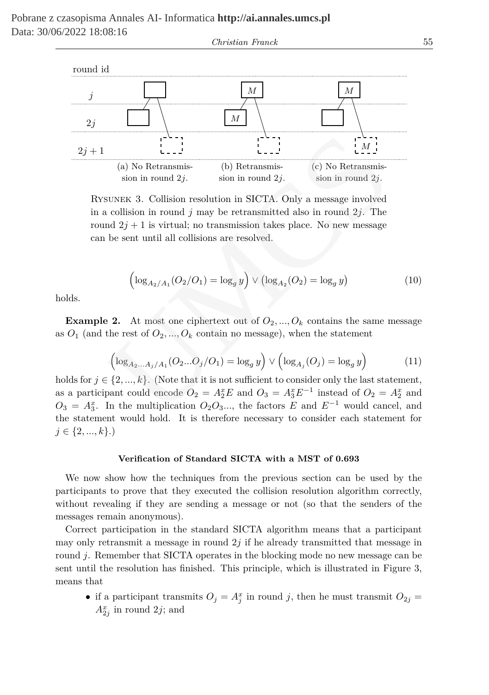

Rysunek 3. Collision resolution in SICTA. Only a message involved in a collision in round  $i$  may be retransmitted also in round  $2i$ . The round  $2j + 1$  is virtual; no transmission takes place. No new message can be sent until all collisions are resolved.

$$
\left(\log_{A_2/A_1}(O_2/O_1) = \log_g y\right) \vee \left(\log_{A_2}(O_2) = \log_g y\right) \tag{10}
$$

holds.

**Example 2.** At most one ciphertext out of  $O_2, ..., O_k$  contains the same message as  $O_1$  (and the rest of  $O_2, ..., O_k$  contain no message), when the statement

$$
\left(\log_{A_2...A_j/A_1}(O_2...O_j/O_1) = \log_g y\right) \vee \left(\log_{A_j}(O_j) = \log_g y\right) \tag{11}
$$

holds for  $j \in \{2, ..., k\}$ . (Note that it is not sufficient to consider only the last statement, as a participant could encode  $O_2 = A_2^x E$  and  $O_3 = A_3^x E^{-1}$  instead of  $O_2 = A_2^x$  and  $O_3 = A_3^x$ . In the multiplication  $O_2O_3...$ , the factors E and  $E^{-1}$  would cancel, and the statement would hold. It is therefore necessary to consider each statement for  $j \in \{2, ..., k\}$ .)

#### **Verification of Standard SICTA with a MST of 0.693**

We now show how the techniques from the previous section can be used by the participants to prove that they executed the collision resolution algorithm correctly, without revealing if they are sending a message or not (so that the senders of the messages remain anonymous).

Correct participation in the standard SICTA algorithm means that a participant may only retransmit a message in round  $2j$  if he already transmitted that message in round j. Remember that SICTA operates in the blocking mode no new message can be sent until the resolution has finished. This principle, which is illustrated in Figure 3, means that

• if a participant transmits  $O_j = A_j^x$  in round j, then he must transmit  $O_{2j}$  =  $A_{2j}^x$  in round 2j; and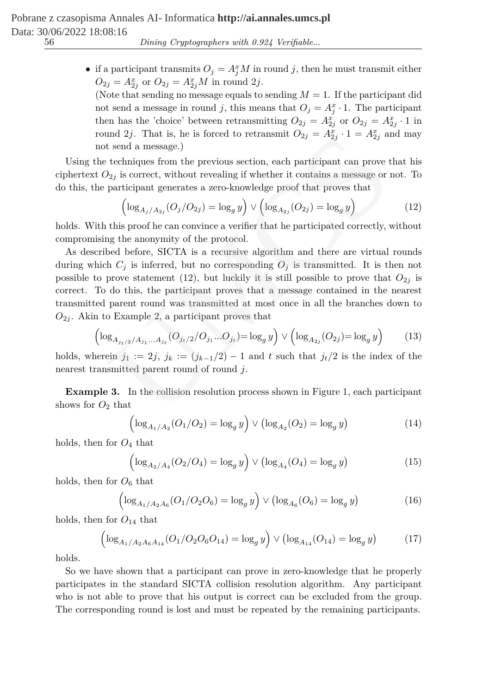• if a participant transmits  $O_j = A_j^x M$  in round j, then he must transmit either  $O_{2j} = A_{2j}^x$  or  $O_{2j} = A_{2j}^x M$  in round  $2j$ .

(Note that sending no message equals to sending  $M = 1$ . If the participant did not send a message in round j, this means that  $O_j = A_j^x \cdot 1$ . The participant then has the 'choice' between retransmitting  $O_{2j} = A_{2j}^x$  or  $O_{2j} = A_{2j}^x \cdot 1$  in round 2*j*. That is, he is forced to retransmit  $O_{2j} = A_{2j}^x \cdot 1 = A_{2j}^x$  and may not send a message.)

Using the techniques from the previous section, each participant can prove that his ciphertext  $O_{2i}$  is correct, without revealing if whether it contains a message or not. To do this, the participant generates a zero-knowledge proof that proves that

$$
\left(\log_{A_j/A_{2j}}(O_j/O_{2j}) = \log_g y\right) \vee \left(\log_{A_{2j}}(O_{2j}) = \log_g y\right)
$$
\n(12)

holds. With this proof he can convince a verifier that he participated correctly, without compromising the anonymity of the protocol.

As described before, SICTA is a recursive algorithm and there are virtual rounds during which  $C_i$  is inferred, but no corresponding  $O_i$  is transmitted. It is then not possible to prove statement (12), but luckily it is still possible to prove that  $O_{2j}$  is correct. To do this, the participant proves that a message contained in the nearest transmitted parent round was transmitted at most once in all the branches down to  $O_{2i}$ . Akin to Example 2, a participant proves that and 2*j*. I nat is, he is forced to retransmit  $O_{2j} = A_{2j}^2 \cdot 1 = A_{2j}^2$  and a message.)<br>
t send a message.)<br>
techniques from the previous section, each participant can prove techniques from the previous section, each p

$$
\left(\log_{A_{j_t/2}/A_{j_1}...A_{j_t}}(O_{j_t/2}/O_{j_1}...O_{j_t})=\log_g y\right) \vee \left(\log_{A_{2j}}(O_{2j})=\log_g y\right) \tag{13}
$$

holds, wherein  $j_1 := 2j$ ,  $j_k := (j_{k-1}/2) - 1$  and t such that  $j_t/2$  is the index of the nearest transmitted parent round of round j.

**Example 3.** In the collision resolution process shown in Figure 1, each participant shows for  $O_2$  that

$$
\left(\log_{A_1/A_2}(O_1/O_2) = \log_g y\right) \vee \left(\log_{A_2}(O_2) = \log_g y\right) \tag{14}
$$

holds, then for  $O_4$  that

$$
\left(\log_{A_2/A_4}(O_2/O_4) = \log_g y\right) \vee \left(\log_{A_4}(O_4) = \log_g y\right) \tag{15}
$$

holds, then for  $O_6$  that

$$
\left(\log_{A_1/A_2A_6}(O_1/O_2O_6) = \log_g y\right) \vee \left(\log_{A_6}(O_6) = \log_g y\right) \tag{16}
$$

holds, then for  $O_{14}$  that

$$
\left(\log_{A_1/A_2A_6A_{14}}(O_1/O_2O_6O_{14}) = \log_g y\right) \vee \left(\log_{A_{14}}(O_{14}) = \log_g y\right) \tag{17}
$$

holds.

So we have shown that a participant can prove in zero-knowledge that he properly participates in the standard SICTA collision resolution algorithm. Any participant who is not able to prove that his output is correct can be excluded from the group. The corresponding round is lost and must be repeated by the remaining participants.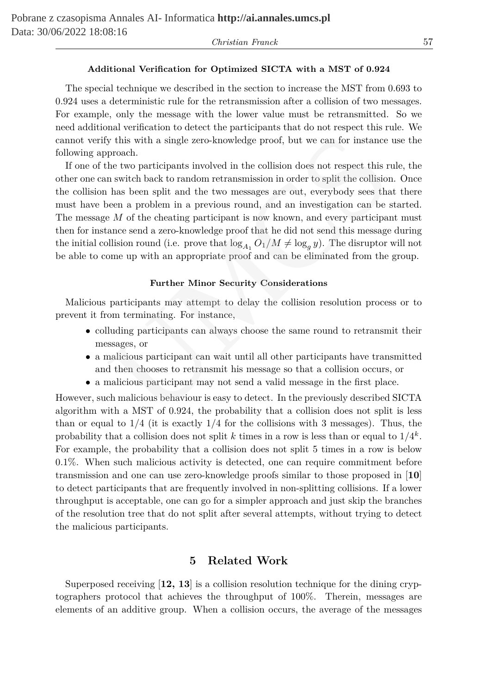### *Christian Franck* 57

#### **Additional Verification for Optimized SICTA with a MST of 0.924**

The special technique we described in the section to increase the MST from 0.693 to 0.924 uses a deterministic rule for the retransmission after a collision of two messages. For example, only the message with the lower value must be retransmitted. So we need additional verification to detect the participants that do not respect this rule. We cannot verify this with a single zero-knowledge proof, but we can for instance use the following approach.

If one of the two participants involved in the collision does not respect this rule, the other one can switch back to random retransmission in order to split the collision. Once the collision has been split and the two messages are out, everybody sees that there must have been a problem in a previous round, and an investigation can be started. The message M of the cheating participant is now known, and every participant must then for instance send a zero-knowledge proof that he did not send this message during the initial collision round (i.e. prove that  $\log_{A_1} O_1/M \neq \log_g y$ ). The disruptor will not be able to come up with an appropriate proof and can be eliminated from the group. iy this with a single zero-knowledge proof, but we can for instance<br>proach. The two participants involved in the collision does not respect this r<br>n switch back to random retransmission in order to split the collision<br>has

#### **Further Minor Security Considerations**

Malicious participants may attempt to delay the collision resolution process or to prevent it from terminating. For instance,

- colluding participants can always choose the same round to retransmit their messages, or
- a malicious participant can wait until all other participants have transmitted and then chooses to retransmit his message so that a collision occurs, or
- a malicious participant may not send a valid message in the first place.

However, such malicious behaviour is easy to detect. In the previously described SICTA algorithm with a MST of 0.924, the probability that a collision does not split is less than or equal to  $1/4$  (it is exactly  $1/4$  for the collisions with 3 messages). Thus, the probability that a collision does not split k times in a row is less than or equal to  $1/4^k$ . For example, the probability that a collision does not split 5 times in a row is below 0.1%. When such malicious activity is detected, one can require commitment before transmission and one can use zero-knowledge proofs similar to those proposed in [**10**] to detect participants that are frequently involved in non-splitting collisions. If a lower throughput is acceptable, one can go for a simpler approach and just skip the branches of the resolution tree that do not split after several attempts, without trying to detect the malicious participants.

## **5 Related Work**

Superposed receiving [**12, 13**] is a collision resolution technique for the dining cryptographers protocol that achieves the throughput of 100%. Therein, messages are elements of an additive group. When a collision occurs, the average of the messages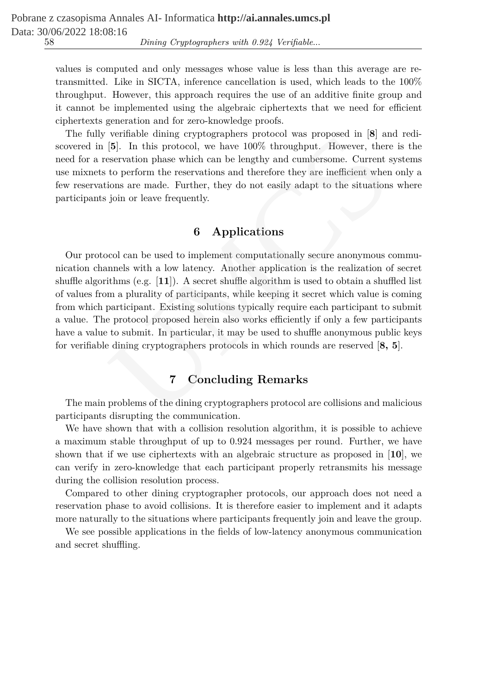values is computed and only messages whose value is less than this average are retransmitted. Like in SICTA, inference cancellation is used, which leads to the 100% throughput. However, this approach requires the use of an additive finite group and it cannot be implemented using the algebraic ciphertexts that we need for efficient ciphertexts generation and for zero-knowledge proofs.

The fully verifiable dining cryptographers protocol was proposed in [**8**] and rediscovered in [**5**]. In this protocol, we have 100% throughput. However, there is the need for a reservation phase which can be lengthy and cumbersome. Current systems use mixnets to perform the reservations and therefore they are inefficient when only a few reservations are made. Further, they do not easily adapt to the situations where participants join or leave frequently.

# **6 Applications**

Our protocol can be used to implement computationally secure anonymous communication channels with a low latency. Another application is the realization of secret shuffle algorithms (e.g. [**11**]). A secret shuffle algorithm is used to obtain a shuffled list of values from a plurality of participants, while keeping it secret which value is coming from which participant. Existing solutions typically require each participant to submit a value. The protocol proposed herein also works efficiently if only a few participants have a value to submit. In particular, it may be used to shuffle anonymous public keys for verifiable dining cryptographers protocols in which rounds are reserved [**8, 5**]. vernable diming cryptographers protocol was proposed in [8]. In this protocol, we have 100% throughput. However, there is<br>eservation phase which can be lengthy and cumbersome. Current sto perform the reservations and there

## **7 Concluding Remarks**

The main problems of the dining cryptographers protocol are collisions and malicious participants disrupting the communication.

We have shown that with a collision resolution algorithm, it is possible to achieve a maximum stable throughput of up to 0.924 messages per round. Further, we have shown that if we use ciphertexts with an algebraic structure as proposed in [**10**], we can verify in zero-knowledge that each participant properly retransmits his message during the collision resolution process.

Compared to other dining cryptographer protocols, our approach does not need a reservation phase to avoid collisions. It is therefore easier to implement and it adapts more naturally to the situations where participants frequently join and leave the group.

We see possible applications in the fields of low-latency anonymous communication and secret shuffling.